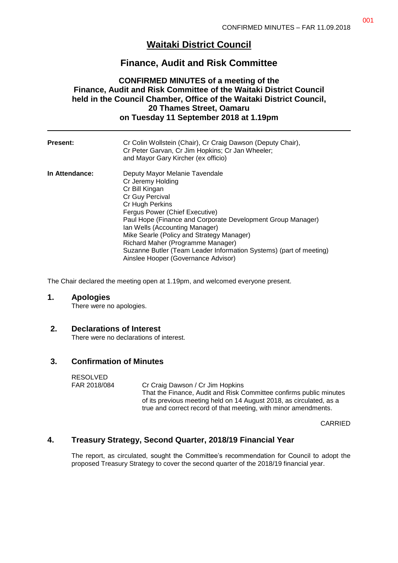# **Waitaki District Council**

# **Finance, Audit and Risk Committee**

### **CONFIRMED MINUTES of a meeting of the Finance, Audit and Risk Committee of the Waitaki District Council held in the Council Chamber, Office of the Waitaki District Council, 20 Thames Street, Oamaru on Tuesday 11 September 2018 at 1.19pm**

| <b>Present:</b> | Cr Colin Wollstein (Chair), Cr Craig Dawson (Deputy Chair),<br>Cr Peter Garvan, Cr Jim Hopkins; Cr Jan Wheeler;<br>and Mayor Gary Kircher (ex officio)                                                                                                                                                                                                                                                                                        |
|-----------------|-----------------------------------------------------------------------------------------------------------------------------------------------------------------------------------------------------------------------------------------------------------------------------------------------------------------------------------------------------------------------------------------------------------------------------------------------|
| In Attendance:  | Deputy Mayor Melanie Tavendale<br>Cr Jeremy Holding<br>Cr Bill Kingan<br>Cr Guy Percival<br>Cr Hugh Perkins<br>Fergus Power (Chief Executive)<br>Paul Hope (Finance and Corporate Development Group Manager)<br>Ian Wells (Accounting Manager)<br>Mike Searle (Policy and Strategy Manager)<br>Richard Maher (Programme Manager)<br>Suzanne Butler (Team Leader Information Systems) (part of meeting)<br>Ainslee Hooper (Governance Advisor) |

The Chair declared the meeting open at 1.19pm, and welcomed everyone present.

#### **1. Apologies**

There were no apologies.

### **2. Declarations of Interest**

There were no declarations of interest.

### **3. Confirmation of Minutes**

RESOLVED<br>FAR 2018/084 Cr Craig Dawson / Cr Jim Hopkins That the Finance, Audit and Risk Committee confirms public minutes of its previous meeting held on 14 August 2018, as circulated, as a true and correct record of that meeting, with minor amendments.

CARRIED

# **4. Treasury Strategy, Second Quarter, 2018/19 Financial Year**

The report, as circulated, sought the Committee's recommendation for Council to adopt the proposed Treasury Strategy to cover the second quarter of the 2018/19 financial year.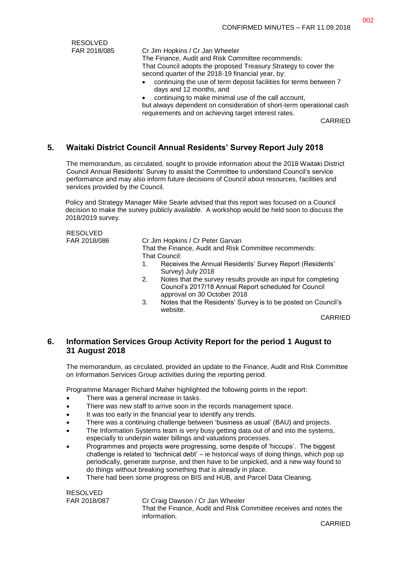RESOLVED

FAR 2018/085 Cr Jim Hopkins / Cr Jan Wheeler

The Finance, Audit and Risk Committee recommends: That Council adopts the proposed Treasury Strategy to cover the second quarter of the 2018-19 financial year, by:

- continuing the use of term deposit facilities for terms between 7 days and 12 months, and
- continuing to make minimal use of the call account,

but always dependent on consideration of short-term operational cash requirements and on achieving target interest rates.

CARRIED

# **5. Waitaki District Council Annual Residents' Survey Report July 2018**

The memorandum, as circulated, sought to provide information about the 2018 Waitaki District Council Annual Residents' Survey to assist the Committee to understand Council's service performance and may also inform future decisions of Council about resources, facilities and services provided by the Council.

Policy and Strategy Manager Mike Searle advised that this report was focused on a Council decision to make the survey publicly available. A workshop would be held soon to discuss the 2018/2019 survey.

RESOLVED FAR 2018/086 Cr Jim Hopkins / Cr Peter Garvan That the Finance, Audit and Risk Committee recommends: That Council: 1. Receives the Annual Residents' Survey Report (Residents' Survey) July 2018 2. Notes that the survey results provide an input for completing Council's 2017/18 Annual Report scheduled for Council approval on 30 October 2018 3. Notes that the Residents' Survey is to be posted on Council's website. CARRIED

**6. Information Services Group Activity Report for the period 1 August to 31 August 2018**

The memorandum, as circulated, provided an update to the Finance, Audit and Risk Committee on Information Services Group activities during the reporting period.

Programme Manager Richard Maher highlighted the following points in the report:

- There was a general increase in tasks.
- There was new staff to arrive soon in the records management space.
- It was too early in the financial year to identify any trends.
- There was a continuing challenge between 'business as usual' (BAU) and projects.
- The Information Systems team is very busy getting data out of and into the systems, especially to underpin water billings and valuations processes.
- Programmes and projects were progressing, some despite of 'hiccups'. The biggest challenge is related to 'technical debt' – ie historical ways of doing things, which pop up periodically, generate surprise, and then have to be unpicked, and a new way found to do things without breaking something that is already in place.
- There had been some progress on BIS and HUB, and Parcel Data Cleaning.

RESOLVED

FAR 2018/087 Cr Craig Dawson / Cr Jan Wheeler That the Finance, Audit and Risk Committee receives and notes the information.

CARRIED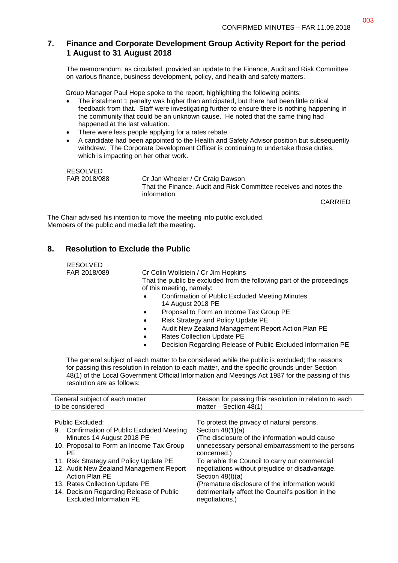# **7. Finance and Corporate Development Group Activity Report for the period 1 August to 31 August 2018**

The memorandum, as circulated, provided an update to the Finance, Audit and Risk Committee on various finance, business development, policy, and health and safety matters.

Group Manager Paul Hope spoke to the report, highlighting the following points:

- The instalment 1 penalty was higher than anticipated, but there had been little critical feedback from that. Staff were investigating further to ensure there is nothing happening in the community that could be an unknown cause. He noted that the same thing had happened at the last valuation.
- There were less people applying for a rates rebate.
- A candidate had been appointed to the Health and Safety Advisor position but subsequently withdrew. The Corporate Development Officer is continuing to undertake those duties, which is impacting on her other work.

RESOLVED

FAR 2018/088 Cr Jan Wheeler / Cr Craig Dawson That the Finance, Audit and Risk Committee receives and notes the information.

CARRIED

The Chair advised his intention to move the meeting into public excluded. Members of the public and media left the meeting.

# **8. Resolution to Exclude the Public**

RESOLVED

FAR 2018/089 Cr Colin Wollstein / Cr Jim Hopkins That the public be excluded from the following part of the proceedings of this meeting, namely:

- Confirmation of Public Excluded Meeting Minutes 14 August 2018 PE
- Proposal to Form an Income Tax Group PE
- Risk Strategy and Policy Update PE
- Audit New Zealand Management Report Action Plan PE
- Rates Collection Update PE
- Decision Regarding Release of Public Excluded Information PE

The general subject of each matter to be considered while the public is excluded; the reasons for passing this resolution in relation to each matter, and the specific grounds under Section 48(1) of the Local Government Official Information and Meetings Act 1987 for the passing of this resolution are as follows:

| General subject of each matter             | Reason for passing this resolution in relation to each |
|--------------------------------------------|--------------------------------------------------------|
| to be considered                           | matter $-$ Section 48(1)                               |
| Public Excluded:                           | To protect the privacy of natural persons.             |
| 9. Confirmation of Public Excluded Meeting | Section $48(1)(a)$                                     |
| Minutes 14 August 2018 PE                  | (The disclosure of the information would cause         |
| 10. Proposal to Form an Income Tax Group   | unnecessary personal embarrassment to the persons      |
| РE                                         | concerned.)                                            |
| 11. Risk Strategy and Policy Update PE     | To enable the Council to carry out commercial          |
| 12. Audit New Zealand Management Report    | negotiations without prejudice or disadvantage.        |
| Action Plan PE                             | Section $48(l)(a)$                                     |
| 13. Rates Collection Update PE             | (Premature disclosure of the information would         |
| 14. Decision Regarding Release of Public   | detrimentally affect the Council's position in the     |
| <b>Excluded Information PE</b>             | negotiations.)                                         |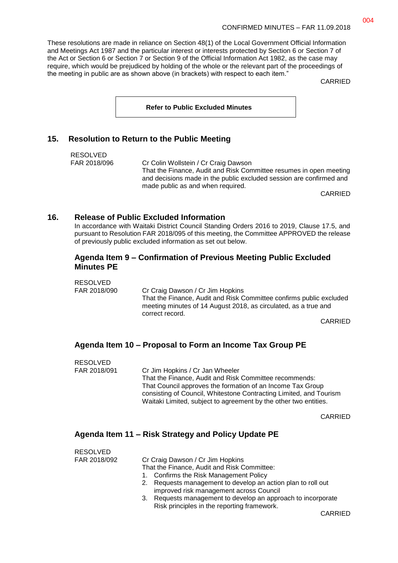These resolutions are made in reliance on Section 48(1) of the Local Government Official Information and Meetings Act 1987 and the particular interest or interests protected by Section 6 or Section 7 of the Act or Section 6 or Section 7 or Section 9 of the Official Information Act 1982, as the case may require, which would be prejudiced by holding of the whole or the relevant part of the proceedings of the meeting in public are as shown above (in brackets) with respect to each item."

CARRIED

**Refer to Public Excluded Minutes**

#### **15. Resolution to Return to the Public Meeting**

RESOLVED

FAR 2018/096 Cr Colin Wollstein / Cr Craig Dawson That the Finance, Audit and Risk Committee resumes in open meeting and decisions made in the public excluded session are confirmed and made public as and when required.

CARRIED

#### **16. Release of Public Excluded Information**

In accordance with Waitaki District Council Standing Orders 2016 to 2019, Clause 17.5, and pursuant to Resolution FAR 2018/095 of this meeting, the Committee APPROVED the release of previously public excluded information as set out below.

#### **Agenda Item 9 – Confirmation of Previous Meeting Public Excluded Minutes PE**

RESOLVED FAR 2018/090 Cr Craig Dawson / Cr Jim Hopkins That the Finance, Audit and Risk Committee confirms public excluded meeting minutes of 14 August 2018, as circulated, as a true and correct record.

CARRIED

### **Agenda Item 10 – Proposal to Form an Income Tax Group PE**

RESOLVED FAR 2018/091 Cr Jim Hopkins / Cr Jan Wheeler That the Finance, Audit and Risk Committee recommends: That Council approves the formation of an Income Tax Group consisting of Council, Whitestone Contracting Limited, and Tourism Waitaki Limited, subject to agreement by the other two entities.

CARRIED

#### **Agenda Item 11 – Risk Strategy and Policy Update PE**

| <b>RESOLVED</b> |                                                                                                             |
|-----------------|-------------------------------------------------------------------------------------------------------------|
| FAR 2018/092    | Cr Craig Dawson / Cr Jim Hopkins                                                                            |
|                 | That the Finance, Audit and Risk Committee:                                                                 |
|                 | 1. Confirms the Risk Management Policy                                                                      |
|                 | 2. Requests management to develop an action plan to roll out<br>improved risk management across Council     |
|                 | 3. Requests management to develop an approach to incorporate<br>Risk principles in the reporting framework. |

004